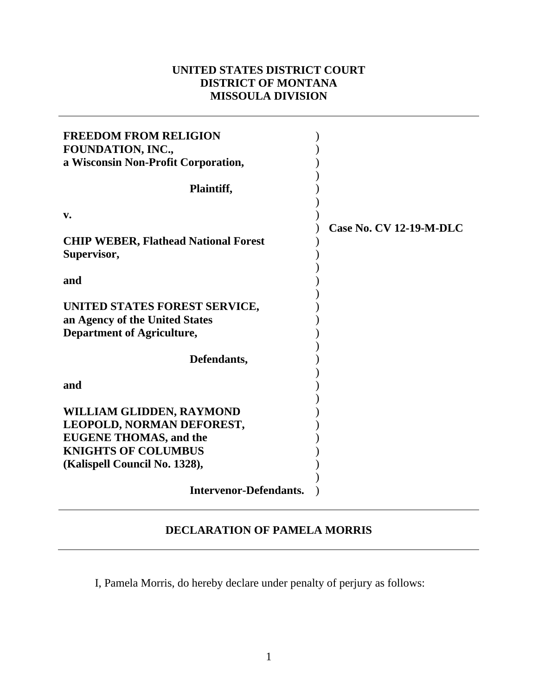## **UNITED STATES DISTRICT COURT DISTRICT OF MONTANA MISSOULA DIVISION**

| <b>FREEDOM FROM RELIGION</b><br>FOUNDATION, INC.,                                                    |                                |
|------------------------------------------------------------------------------------------------------|--------------------------------|
| a Wisconsin Non-Profit Corporation,                                                                  |                                |
| Plaintiff,                                                                                           |                                |
| $\mathbf{v}$ .                                                                                       | <b>Case No. CV 12-19-M-DLC</b> |
| <b>CHIP WEBER, Flathead National Forest</b><br>Supervisor,                                           |                                |
| and                                                                                                  |                                |
| UNITED STATES FOREST SERVICE,<br>an Agency of the United States<br><b>Department of Agriculture,</b> |                                |
| Defendants,                                                                                          |                                |
| and                                                                                                  |                                |
| WILLIAM GLIDDEN, RAYMOND                                                                             |                                |
| LEOPOLD, NORMAN DEFOREST,                                                                            |                                |
| <b>EUGENE THOMAS, and the</b>                                                                        |                                |
| <b>KNIGHTS OF COLUMBUS</b>                                                                           |                                |
| (Kalispell Council No. 1328),                                                                        |                                |
| <b>Intervenor-Defendants.</b>                                                                        |                                |

## **DECLARATION OF PAMELA MORRIS**

I, Pamela Morris, do hereby declare under penalty of perjury as follows: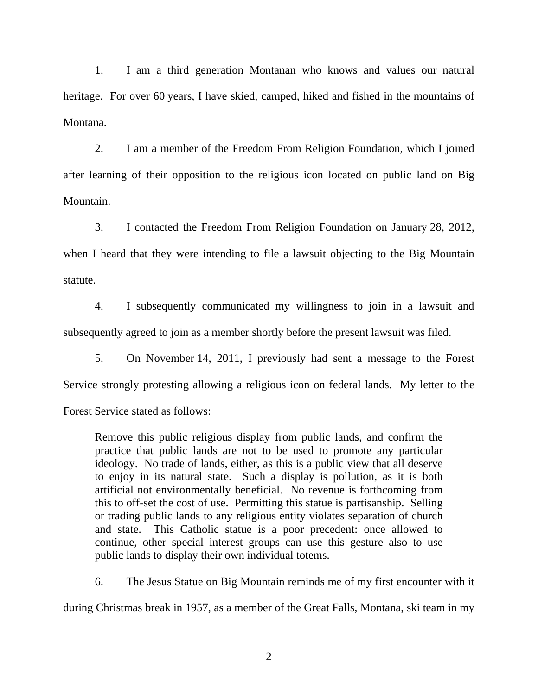1. I am a third generation Montanan who knows and values our natural heritage. For over 60 years, I have skied, camped, hiked and fished in the mountains of Montana.

 2. I am a member of the Freedom From Religion Foundation, which I joined after learning of their opposition to the religious icon located on public land on Big Mountain.

 3. I contacted the Freedom From Religion Foundation on January 28, 2012, when I heard that they were intending to file a lawsuit objecting to the Big Mountain statute.

 4. I subsequently communicated my willingness to join in a lawsuit and subsequently agreed to join as a member shortly before the present lawsuit was filed.

 5. On November 14, 2011, I previously had sent a message to the Forest Service strongly protesting allowing a religious icon on federal lands. My letter to the

Forest Service stated as follows:

Remove this public religious display from public lands, and confirm the practice that public lands are not to be used to promote any particular ideology. No trade of lands, either, as this is a public view that all deserve to enjoy in its natural state. Such a display is pollution, as it is both artificial not environmentally beneficial. No revenue is forthcoming from this to off-set the cost of use. Permitting this statue is partisanship. Selling or trading public lands to any religious entity violates separation of church and state. This Catholic statue is a poor precedent: once allowed to continue, other special interest groups can use this gesture also to use public lands to display their own individual totems.

6. The Jesus Statue on Big Mountain reminds me of my first encounter with it

during Christmas break in 1957, as a member of the Great Falls, Montana, ski team in my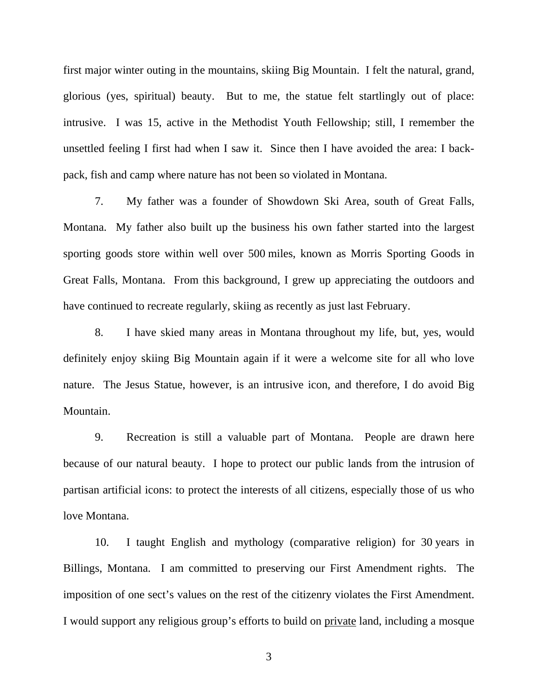first major winter outing in the mountains, skiing Big Mountain. I felt the natural, grand, glorious (yes, spiritual) beauty. But to me, the statue felt startlingly out of place: intrusive. I was 15, active in the Methodist Youth Fellowship; still, I remember the unsettled feeling I first had when I saw it. Since then I have avoided the area: I backpack, fish and camp where nature has not been so violated in Montana.

 7. My father was a founder of Showdown Ski Area, south of Great Falls, Montana. My father also built up the business his own father started into the largest sporting goods store within well over 500 miles, known as Morris Sporting Goods in Great Falls, Montana. From this background, I grew up appreciating the outdoors and have continued to recreate regularly, skiing as recently as just last February.

 8. I have skied many areas in Montana throughout my life, but, yes, would definitely enjoy skiing Big Mountain again if it were a welcome site for all who love nature. The Jesus Statue, however, is an intrusive icon, and therefore, I do avoid Big Mountain.

 9. Recreation is still a valuable part of Montana. People are drawn here because of our natural beauty. I hope to protect our public lands from the intrusion of partisan artificial icons: to protect the interests of all citizens, especially those of us who love Montana.

 10. I taught English and mythology (comparative religion) for 30 years in Billings, Montana. I am committed to preserving our First Amendment rights. The imposition of one sect's values on the rest of the citizenry violates the First Amendment. I would support any religious group's efforts to build on private land, including a mosque

3